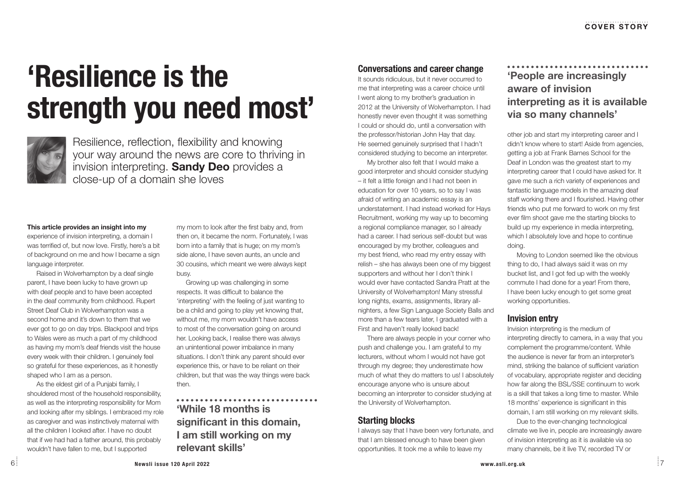# **'Resilience is the strength you need most'**



Resilience, reflection, flexibility and knowing your way around the news are core to thriving in invision interpreting. **Sandy Deo** provides a close-up of a domain she loves

#### **This article provides an insight into my**

experience of invision interpreting, a domain I was terrified of, but now love. Firstly, here's a bit of background on me and how I became a sign language interpreter.

Raised in Wolverhampton by a deaf single parent, I have been lucky to have grown up with deaf people and to have been accepted in the deaf community from childhood. Rupert Street Deaf Club in Wolverhampton was a second home and it's down to them that we ever got to go on day trips. Blackpool and trips to Wales were as much a part of my childhood as having my mom's deaf friends visit the house every week with their children. I genuinely feel so grateful for these experiences, as it honestly shaped who I am as a person.

As the eldest girl of a Punjabi family, I shouldered most of the household responsibility, as well as the interpreting responsibility for Mom and looking after my siblings. I embraced my role as caregiver and was instinctively maternal with all the children I looked after. I have no doubt that if we had had a father around, this probably wouldn't have fallen to me, but I supported

my mom to look after the first baby and, from then on, it became the norm. Fortunately, I was born into a family that is huge; on my mom's side alone, I have seven aunts, an uncle and 30 cousins, which meant we were always kept busy.

Growing up was challenging in some respects. It was difficult to balance the 'interpreting' with the feeling of just wanting to be a child and going to play yet knowing that, without me, my mom wouldn't have access to most of the conversation going on around her. Looking back, I realise there was always an unintentional power imbalance in many situations. I don't think any parent should ever experience this, or have to be reliant on their children, but that was the way things were back then.

**'While 18 months is significant in this domain, I am still working on my relevant skills'**

#### **Conversations and career change**

It sounds ridiculous, but it never occurred to me that interpreting was a career choice until I went along to my brother's graduation in 2012 at the University of Wolverhampton. I had honestly never even thought it was something I could or should do, until a conversation with the professor/historian John Hay that day. He seemed genuinely surprised that I hadn't considered studying to become an interpreter.

My brother also felt that I would make a good interpreter and should consider studying – it felt a little foreign and I had not been in education for over 10 years, so to say I was afraid of writing an academic essay is an understatement. I had instead worked for Hays Recruitment, working my way up to becoming a regional compliance manager, so I already had a career. I had serious self-doubt but was encouraged by my brother, colleagues and my best friend, who read my entry essay with relish – she has always been one of my biggest supporters and without her I don't think I would ever have contacted Sandra Pratt at the University of Wolverhampton! Many stressful long nights, exams, assignments, library allnighters, a few Sign Language Society Balls and more than a few tears later, I graduated with a First and haven't really looked back!

There are always people in your corner who push and challenge you. I am grateful to my lecturers, without whom I would not have got through my degree; they underestimate how much of what they do matters to us! I absolutely encourage anyone who is unsure about becoming an interpreter to consider studying at the University of Wolverhampton.

#### **Starting blocks**

I always say that I have been very fortunate, and that I am blessed enough to have been given opportunities. It took me a while to leave my

**'People are increasingly aware of invision interpreting as it is available via so many channels'** 

other job and start my interpreting career and I didn't know where to start! Aside from agencies, getting a job at Frank Barnes School for the Deaf in London was the greatest start to my interpreting career that I could have asked for. It gave me such a rich variety of experiences and fantastic language models in the amazing deaf staff working there and I flourished. Having other friends who put me forward to work on my first ever film shoot gave me the starting blocks to build up my experience in media interpreting, which I absolutely love and hope to continue doing.

Moving to London seemed like the obvious thing to do, I had always said it was on my bucket list, and I got fed up with the weekly commute I had done for a year! From there, I have been lucky enough to get some great working opportunities.

#### **Invision entry**

Invision interpreting is the medium of interpreting directly to camera, in a way that you complement the programme/content. While the audience is never far from an interpreter's mind, striking the balance of sufficient variation of vocabulary, appropriate register and deciding how far along the BSL/SSE continuum to work is a skill that takes a long time to master. While 18 months' experience is significant in this domain, I am still working on my relevant skills.

Due to the ever-changing technological climate we live in, people are increasingly aware of invision interpreting as it is available via so many channels, be it live TV, recorded TV or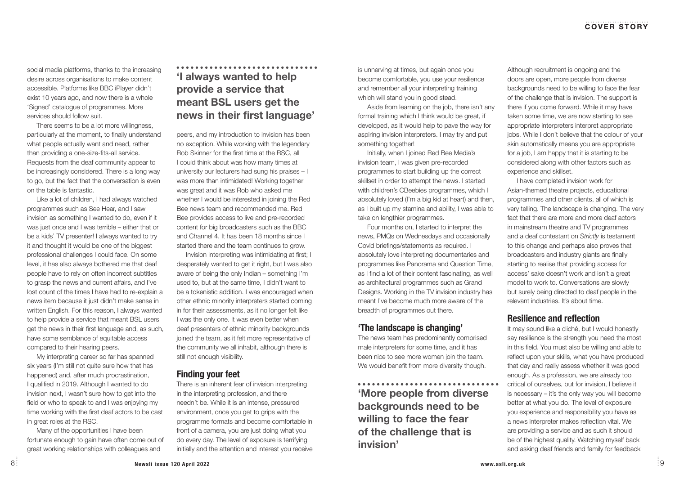social media platforms, thanks to the increasing desire across organisations to make content accessible. Platforms like BBC iPlayer didn't exist 10 years ago, and now there is a whole 'Signed' catalogue of programmes. More services should follow suit.

There seems to be a lot more willingness, particularly at the moment, to finally understand what people actually want and need, rather than providing a one-size-fits-all service. Requests from the deaf community appear to be increasingly considered. There is a long way to go, but the fact that the conversation is even on the table is fantastic.

Like a lot of children, I had always watched programmes such as See Hear, and I saw invision as something I wanted to do, even if it was just once and I was terrible – either that or be a kids' TV presenter! I always wanted to try it and thought it would be one of the biggest professional challenges I could face. On some level, it has also always bothered me that deaf people have to rely on often incorrect subtitles to grasp the news and current affairs, and I've lost count of the times I have had to re-explain a news item because it just didn't make sense in written English. For this reason, I always wanted to help provide a service that meant BSL users get the news in their first language and, as such, have some semblance of equitable access compared to their hearing peers.

My interpreting career so far has spanned six years (I'm still not quite sure how that has happened) and, after much procrastination, I qualified in 2019. Although I wanted to do invision next, I wasn't sure how to get into the field or who to speak to and I was enjoying my time working with the first deaf actors to be cast in great roles at the RSC.

Many of the opportunities I have been fortunate enough to gain have often come out of great working relationships with colleagues and

## **'I always wanted to help provide a service that meant BSL users get the news in their first language'**

peers, and my introduction to invision has been no exception. While working with the legendary Rob Skinner for the first time at the RSC, all I could think about was how many times at university our lecturers had sung his praises – I was more than intimidated! Working together was great and it was Rob who asked me whether I would be interested in joining the Red Bee news team and recommended me. Red Bee provides access to live and pre-recorded content for big broadcasters such as the BBC and Channel 4. It has been 18 months since I started there and the team continues to grow.

Invision interpreting was intimidating at first; I desperately wanted to get it right, but I was also aware of being the only Indian – something I'm used to, but at the same time, I didn't want to be a tokenistic addition. I was encouraged when other ethnic minority interpreters started coming in for their assessments, as it no longer felt like I was the only one. It was even better when deaf presenters of ethnic minority backgrounds joined the team, as it felt more representative of the community we all inhabit, although there is still not enough visibility.

### **Finding your feet**

There is an inherent fear of invision interpreting in the interpreting profession, and there needn't be. While it is an intense, pressured environment, once you get to grips with the programme formats and become comfortable in front of a camera, you are just doing what you do every day. The level of exposure is terrifying initially and the attention and interest you receive is unnerving at times, but again once you become comfortable, you use your resilience and remember all your interpreting training which will stand you in good stead.

Aside from learning on the job, there isn't any formal training which I think would be great, if developed, as it would help to pave the way for aspiring invision interpreters. I may try and put something together!

Initially, when I joined Red Bee Media's invision team, I was given pre-recorded programmes to start building up the correct skillset in order to attempt the news. I started with children's CBeebies programmes, which I absolutely loved (I'm a big kid at heart) and then, as I built up my stamina and ability, I was able to take on lengthier programmes.

Four months on, I started to interpret the news, PMQs on Wednesdays and occasionally Covid briefings/statements as required. I absolutely love interpreting documentaries and programmes like Panorama and Question Time, as I find a lot of their content fascinating, as well as architectural programmes such as Grand Designs. Working in the TV invision industry has meant I've become much more aware of the breadth of programmes out there.

### **'The landscape is changing'**

The news team has predominantly comprised male interpreters for some time, and it has been nice to see more women join the team. We would benefit from more diversity though.

**'More people from diverse backgrounds need to be willing to face the fear of the challenge that is invision'**

Although recruitment is ongoing and the doors are open, more people from diverse backgrounds need to be willing to face the fear of the challenge that is invision. The support is there if you come forward. While it may have taken some time, we are now starting to see appropriate interpreters interpret appropriate jobs. While I don't believe that the colour of your skin automatically means you are appropriate for a job, I am happy that it is starting to be considered along with other factors such as experience and skillset.

I have completed invision work for Asian-themed theatre projects, educational programmes and other clients, all of which is very telling. The landscape is changing. The very fact that there are more and more deaf actors in mainstream theatre and TV programmes and a deaf contestant on *Strictly* is testament to this change and perhaps also proves that broadcasters and industry giants are finally starting to realise that providing access for access' sake doesn't work and isn't a great model to work to. Conversations are slowly but surely being directed to deaf people in the relevant industries. It's about time.

#### **Resilience and reflection**

It may sound like a cliché, but I would honestly say resilience is the strength you need the most in this field. You must also be willing and able to reflect upon your skills, what you have produced that day and really assess whether it was good enough. As a profession, we are already too critical of ourselves, but for invision, I believe it is necessary – it's the only way you will become better at what you do. The level of exposure you experience and responsibility you have as a news interpreter makes reflection vital. We are providing a service and as such it should be of the highest quality. Watching myself back and asking deaf friends and family for feedback